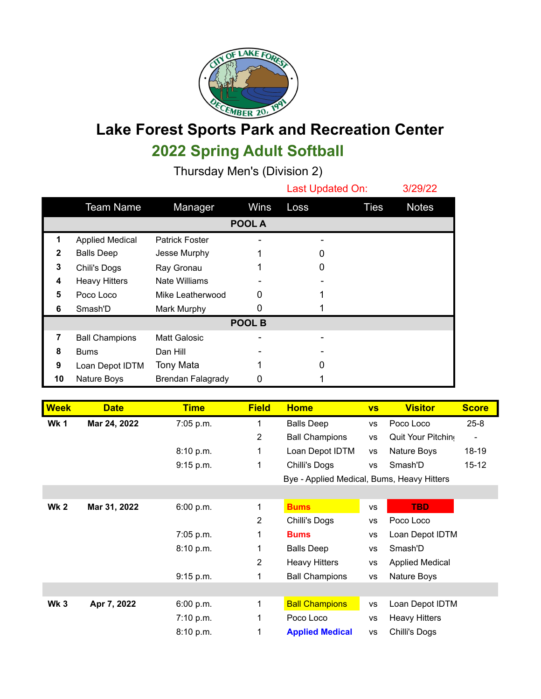

## **Lake Forest Sports Park and Recreation Center 2022 Spring Adult Softball**

Thursday Men's (Division 2)

|               |                        |                          |      | Last Updated On: |      | 3/29/22      |  |
|---------------|------------------------|--------------------------|------|------------------|------|--------------|--|
|               | <b>Team Name</b>       | Manager                  | Wins | Loss             | Ties | <b>Notes</b> |  |
| <b>POOL A</b> |                        |                          |      |                  |      |              |  |
| 1             | <b>Applied Medical</b> | <b>Patrick Foster</b>    |      |                  |      |              |  |
| 2             | <b>Balls Deep</b>      | Jesse Murphy             |      |                  |      |              |  |
| 3             | Chili's Dogs           | Ray Gronau               |      | O                |      |              |  |
| 4             | <b>Heavy Hitters</b>   | <b>Nate Williams</b>     |      |                  |      |              |  |
| 5             | Poco Loco              | Mike Leatherwood         | 0    |                  |      |              |  |
| 6             | Smash'D                | Mark Murphy              | 0    |                  |      |              |  |
| POOL B        |                        |                          |      |                  |      |              |  |
| 7             | <b>Ball Champions</b>  | <b>Matt Galosic</b>      |      |                  |      |              |  |
| 8             | <b>Bums</b>            | Dan Hill                 |      |                  |      |              |  |
| 9             | Loan Depot IDTM        | Tony Mata                |      | 0                |      |              |  |
| 10            | Nature Boys            | <b>Brendan Falagrady</b> | 0    |                  |      |              |  |

| <b>Week</b> | <b>Date</b>  | <b>Time</b> | <b>Field</b>   | <b>Home</b>                                | <b>VS</b> | <b>Visitor</b>         | <b>Score</b> |
|-------------|--------------|-------------|----------------|--------------------------------------------|-----------|------------------------|--------------|
| <b>Wk1</b>  | Mar 24, 2022 | 7:05 p.m.   |                | <b>Balls Deep</b>                          | <b>VS</b> | Poco Loco              | $25 - 8$     |
|             |              |             | $\overline{2}$ | <b>Ball Champions</b>                      | <b>VS</b> | Quit Your Pitchin      |              |
|             |              | 8:10 p.m.   | 1              | Loan Depot IDTM                            | <b>VS</b> | Nature Boys            | 18-19        |
|             |              | 9:15 p.m.   | 1              | Chilli's Dogs                              | <b>VS</b> | Smash'D                | $15 - 12$    |
|             |              |             |                | Bye - Applied Medical, Bums, Heavy Hitters |           |                        |              |
|             |              |             |                |                                            |           |                        |              |
| <b>Wk 2</b> | Mar 31, 2022 | 6:00 p.m.   | 1              | <b>Bums</b>                                | <b>VS</b> | TBD                    |              |
|             |              |             | 2              | Chilli's Dogs                              | <b>VS</b> | Poco Loco              |              |
|             |              | 7:05 p.m.   | 1              | <b>Bums</b>                                | <b>VS</b> | Loan Depot IDTM        |              |
|             |              | 8:10 p.m.   |                | <b>Balls Deep</b>                          | <b>VS</b> | Smash'D                |              |
|             |              |             | 2              | <b>Heavy Hitters</b>                       | <b>VS</b> | <b>Applied Medical</b> |              |
|             |              | 9:15 p.m.   |                | <b>Ball Champions</b>                      | <b>VS</b> | Nature Boys            |              |
|             |              |             |                |                                            |           |                        |              |
| <b>Wk 3</b> | Apr 7, 2022  | 6:00 p.m.   | 1              | <b>Ball Champions</b>                      | <b>VS</b> | Loan Depot IDTM        |              |
|             |              | 7:10 p.m.   |                | Poco Loco                                  | <b>VS</b> | <b>Heavy Hitters</b>   |              |
|             |              | 8:10 p.m.   | 1              | <b>Applied Medical</b>                     | VS        | Chilli's Dogs          |              |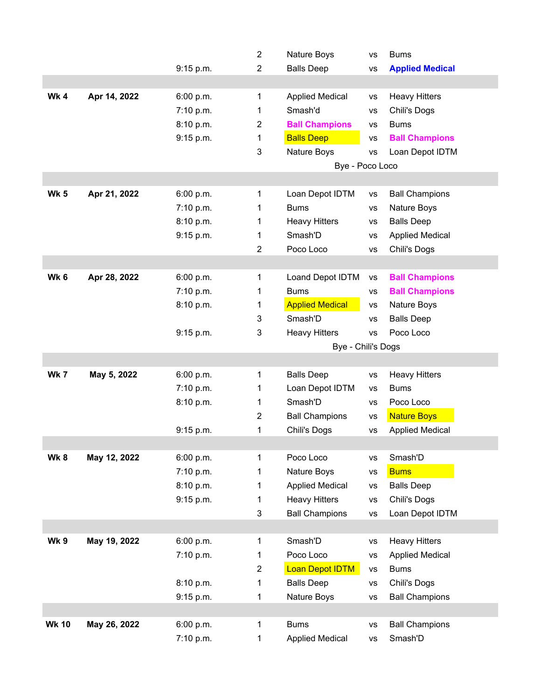|              |              |           | $\overline{2}$ | Nature Boys            | <b>VS</b> | <b>Bums</b>            |  |
|--------------|--------------|-----------|----------------|------------------------|-----------|------------------------|--|
|              |              | 9:15 p.m. | $\overline{2}$ | <b>Balls Deep</b>      | <b>VS</b> | <b>Applied Medical</b> |  |
|              |              |           |                |                        |           |                        |  |
| Wk 4         | Apr 14, 2022 | 6:00 p.m. | 1              | <b>Applied Medical</b> | <b>VS</b> | <b>Heavy Hitters</b>   |  |
|              |              | 7:10 p.m. | 1              | Smash'd                | <b>VS</b> | Chili's Dogs           |  |
|              |              | 8:10 p.m. | $\overline{2}$ | <b>Ball Champions</b>  | <b>VS</b> | <b>Bums</b>            |  |
|              |              | 9:15 p.m. | 1              | <b>Balls Deep</b>      | <b>VS</b> | <b>Ball Champions</b>  |  |
|              |              |           | 3              | Nature Boys            | <b>VS</b> | Loan Depot IDTM        |  |
|              |              |           |                | Bye - Poco Loco        |           |                        |  |
|              |              |           |                |                        |           |                        |  |
| <b>Wk 5</b>  | Apr 21, 2022 | 6:00 p.m. | 1              | Loan Depot IDTM        | <b>VS</b> | <b>Ball Champions</b>  |  |
|              |              | 7:10 p.m. | 1              | <b>Bums</b>            | <b>VS</b> | Nature Boys            |  |
|              |              | 8:10 p.m. | 1              | <b>Heavy Hitters</b>   | <b>VS</b> | <b>Balls Deep</b>      |  |
|              |              | 9:15 p.m. | 1              | Smash'D                | <b>VS</b> | <b>Applied Medical</b> |  |
|              |              |           | $\overline{2}$ | Poco Loco              | <b>VS</b> | Chili's Dogs           |  |
|              |              |           |                |                        |           |                        |  |
| Wk 6         | Apr 28, 2022 | 6:00 p.m. | 1              | Loand Depot IDTM       | <b>VS</b> | <b>Ball Champions</b>  |  |
|              |              | 7:10 p.m. | 1              | <b>Bums</b>            | VS        | <b>Ball Champions</b>  |  |
|              |              | 8:10 p.m. | 1              | <b>Applied Medical</b> | <b>VS</b> | Nature Boys            |  |
|              |              |           | 3              | Smash'D                | <b>VS</b> | <b>Balls Deep</b>      |  |
|              |              | 9:15 p.m. | 3              | <b>Heavy Hitters</b>   | <b>VS</b> | Poco Loco              |  |
|              |              |           |                | Bye - Chili's Dogs     |           |                        |  |
|              |              |           |                |                        |           |                        |  |
| <b>Wk 7</b>  | May 5, 2022  | 6:00 p.m. | 1              | <b>Balls Deep</b>      | <b>VS</b> | <b>Heavy Hitters</b>   |  |
|              |              | 7:10 p.m. | 1              | Loan Depot IDTM        | VS        | <b>Bums</b>            |  |
|              |              | 8:10 p.m. | 1              | Smash'D                | VS        | Poco Loco              |  |
|              |              |           | $\overline{2}$ | <b>Ball Champions</b>  | <b>VS</b> | <b>Nature Boys</b>     |  |
|              |              | 9:15 p.m. | 1              | Chili's Dogs           | <b>VS</b> | <b>Applied Medical</b> |  |
|              |              |           |                |                        |           |                        |  |
| Wk8          | May 12, 2022 | 6:00 p.m. | 1              | Poco Loco              | <b>VS</b> | Smash'D                |  |
|              |              | 7:10 p.m. | 1              | Nature Boys            | <b>VS</b> | <b>Bums</b>            |  |
|              |              | 8:10 p.m. | 1              | <b>Applied Medical</b> | <b>VS</b> | <b>Balls Deep</b>      |  |
|              |              |           |                |                        |           |                        |  |
|              |              | 9:15 p.m. | 1              | <b>Heavy Hitters</b>   | <b>VS</b> | Chili's Dogs           |  |
|              |              |           | 3              | <b>Ball Champions</b>  | <b>VS</b> | Loan Depot IDTM        |  |
|              |              |           |                |                        |           |                        |  |
| Wk 9         | May 19, 2022 | 6:00 p.m. | 1              | Smash'D                | <b>VS</b> | <b>Heavy Hitters</b>   |  |
|              |              | 7:10 p.m. | 1              | Poco Loco              | <b>VS</b> | <b>Applied Medical</b> |  |
|              |              |           | $\overline{2}$ | <b>Loan Depot IDTM</b> | <b>VS</b> | <b>Bums</b>            |  |
|              |              | 8:10 p.m. | 1              | <b>Balls Deep</b>      | <b>VS</b> | Chili's Dogs           |  |
|              |              | 9:15 p.m. | 1              | Nature Boys            | <b>VS</b> | <b>Ball Champions</b>  |  |
|              |              |           |                |                        |           |                        |  |
| <b>Wk 10</b> | May 26, 2022 | 6:00 p.m. | 1              | <b>Bums</b>            | <b>VS</b> | <b>Ball Champions</b>  |  |